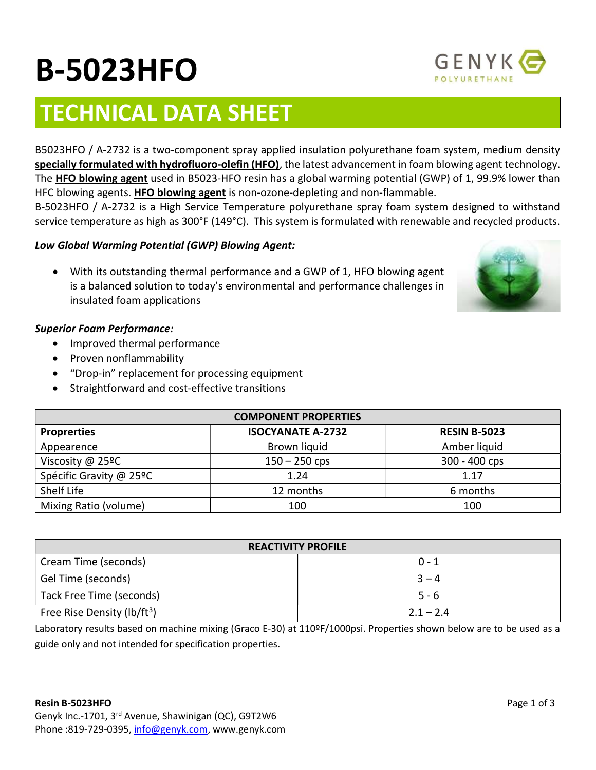# TECHNICAL DATA SHEET

B5023HFO / A-2732 is a two-component spray applied insulation polyurethane foam system, medium density specially formulated with hydrofluoro-olefin (HFO), the latest advancement in foam blowing agent technology. The HFO blowing agent used in B5023-HFO resin has a global warming potential (GWP) of 1, 99.9% lower than HFC blowing agents. HFO blowing agent is non-ozone-depleting and non-flammable.

B-5023HFO / A-2732 is a High Service Temperature polyurethane spray foam system designed to withstand service temperature as high as 300°F (149°C). This system is formulated with renewable and recycled products.

# Low Global Warming Potential (GWP) Blowing Agent:

 With its outstanding thermal performance and a GWP of 1, HFO blowing agent is a balanced solution to today's environmental and performance challenges in insulated foam applications

## Superior Foam Performance:

- Improved thermal performance
- Proven nonflammability
- "Drop-in" replacement for processing equipment
- Straightforward and cost-effective transitions

| <b>COMPONENT PROPERTIES</b> |                          |                     |  |  |
|-----------------------------|--------------------------|---------------------|--|--|
| <b>Proprerties</b>          | <b>ISOCYANATE A-2732</b> | <b>RESIN B-5023</b> |  |  |
| Appearence                  | Brown liquid             | Amber liquid        |  |  |
| Viscosity @ 25ºC            | $150 - 250$ cps          | 300 - 400 cps       |  |  |
| Spécific Gravity @ 25ºC     | 1.24                     | 1.17                |  |  |
| Shelf Life                  | 12 months                | 6 months            |  |  |
| Mixing Ratio (volume)       | 100                      | 100                 |  |  |

| <b>REACTIVITY PROFILE</b>               |             |  |  |
|-----------------------------------------|-------------|--|--|
| Cream Time (seconds)                    | $0 - 1$     |  |  |
| Gel Time (seconds)                      | $3 - 4$     |  |  |
| Tack Free Time (seconds)                | $5 - 6$     |  |  |
| Free Rise Density (lb/ft <sup>3</sup> ) | $2.1 - 2.4$ |  |  |

Laboratory results based on machine mixing (Graco E-30) at 110ºF/1000psi. Properties shown below are to be used as a guide only and not intended for specification properties.





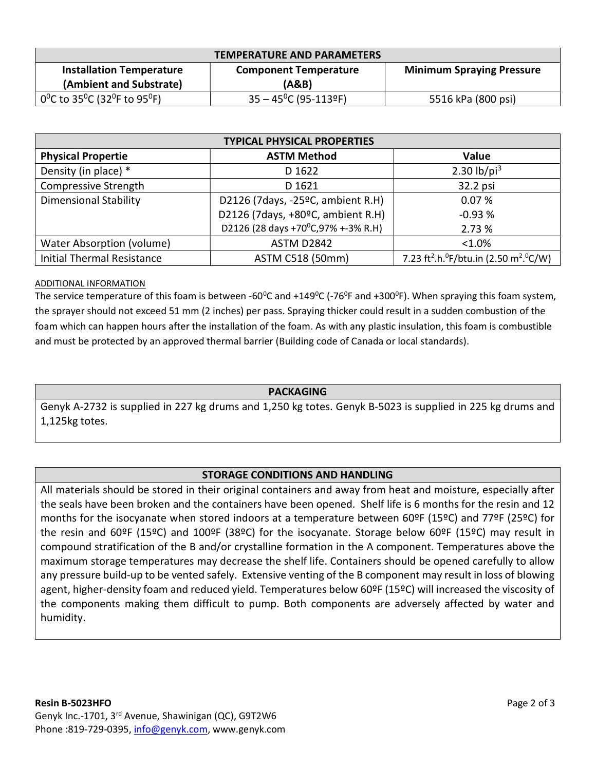| <b>TEMPERATURE AND PARAMETERS</b>                                              |                                |                                  |  |  |
|--------------------------------------------------------------------------------|--------------------------------|----------------------------------|--|--|
| <b>Installation Temperature</b>                                                | <b>Component Temperature</b>   | <b>Minimum Spraying Pressure</b> |  |  |
| (Ambient and Substrate)                                                        | (A&B)                          |                                  |  |  |
| 0 <sup>o</sup> C to 35 <sup>o</sup> C (32 <sup>o</sup> F to 95 <sup>o</sup> F) | $35 - 45^{\circ}$ C (95-113ºF) | 5516 kPa (800 psi)               |  |  |

| <b>TYPICAL PHYSICAL PROPERTIES</b> |                                    |                                                                                         |  |  |
|------------------------------------|------------------------------------|-----------------------------------------------------------------------------------------|--|--|
| <b>Physical Propertie</b>          | <b>ASTM Method</b>                 | Value                                                                                   |  |  |
| Density (in place) *               | D 1622                             | 2.30 $lb$ /pi <sup>3</sup>                                                              |  |  |
| Compressive Strength               | D 1621                             | 32.2 psi                                                                                |  |  |
| <b>Dimensional Stability</b>       | D2126 (7days, -25°C, ambient R.H)  | 0.07%                                                                                   |  |  |
|                                    | D2126 (7days, +80°C, ambient R.H)  | $-0.93%$                                                                                |  |  |
|                                    | D2126 (28 days +70°C,97% +-3% R.H) | 2.73%                                                                                   |  |  |
| Water Absorption (volume)          | <b>ASTM D2842</b>                  | $< 1.0\%$                                                                               |  |  |
| <b>Initial Thermal Resistance</b>  | ASTM C518 (50mm)                   | 7.23 ft <sup>2</sup> .h. <sup>o</sup> F/btu.in (2.50 m <sup>2</sup> . <sup>o</sup> C/W) |  |  |

#### ADDITIONAL INFORMATION

The service temperature of this foam is between -60 $^{\circ}$ C and +149 $^{\circ}$ C (-76 $^{\circ}$ F and +300 $^{\circ}$ F). When spraying this foam system, the sprayer should not exceed 51 mm (2 inches) per pass. Spraying thicker could result in a sudden combustion of the foam which can happen hours after the installation of the foam. As with any plastic insulation, this foam is combustible and must be protected by an approved thermal barrier (Building code of Canada or local standards).

#### PACKAGING

Genyk A-2732 is supplied in 227 kg drums and 1,250 kg totes. Genyk B-5023 is supplied in 225 kg drums and 1,125kg totes.

#### STORAGE CONDITIONS AND HANDLING

All materials should be stored in their original containers and away from heat and moisture, especially after the seals have been broken and the containers have been opened. Shelf life is 6 months for the resin and 12 months for the isocyanate when stored indoors at a temperature between 60ºF (15ºC) and 77ºF (25ºC) for the resin and 60ºF (15ºC) and 100ºF (38ºC) for the isocyanate. Storage below 60ºF (15ºC) may result in compound stratification of the B and/or crystalline formation in the A component. Temperatures above the maximum storage temperatures may decrease the shelf life. Containers should be opened carefully to allow any pressure build-up to be vented safely. Extensive venting of the B component may result in loss of blowing agent, higher-density foam and reduced yield. Temperatures below 60ºF (15ºC) will increased the viscosity of the components making them difficult to pump. Both components are adversely affected by water and humidity.